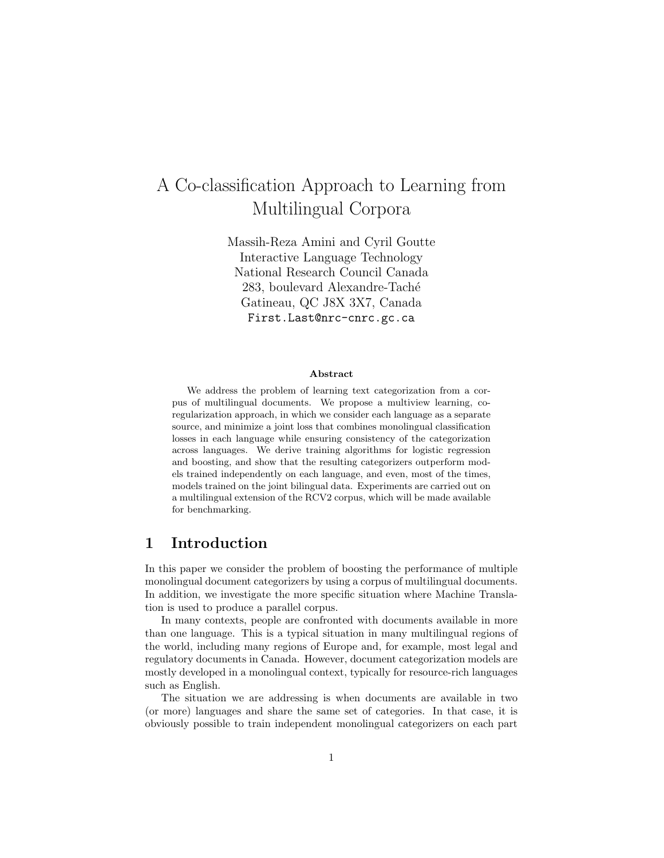# A Co-classification Approach to Learning from Multilingual Corpora

Massih-Reza Amini and Cyril Goutte Interactive Language Technology National Research Council Canada 283, boulevard Alexandre-Taché Gatineau, QC J8X 3X7, Canada First.Last@nrc-cnrc.gc.ca

#### Abstract

We address the problem of learning text categorization from a corpus of multilingual documents. We propose a multiview learning, coregularization approach, in which we consider each language as a separate source, and minimize a joint loss that combines monolingual classification losses in each language while ensuring consistency of the categorization across languages. We derive training algorithms for logistic regression and boosting, and show that the resulting categorizers outperform models trained independently on each language, and even, most of the times, models trained on the joint bilingual data. Experiments are carried out on a multilingual extension of the RCV2 corpus, which will be made available for benchmarking.

### 1 Introduction

In this paper we consider the problem of boosting the performance of multiple monolingual document categorizers by using a corpus of multilingual documents. In addition, we investigate the more specific situation where Machine Translation is used to produce a parallel corpus.

In many contexts, people are confronted with documents available in more than one language. This is a typical situation in many multilingual regions of the world, including many regions of Europe and, for example, most legal and regulatory documents in Canada. However, document categorization models are mostly developed in a monolingual context, typically for resource-rich languages such as English.

The situation we are addressing is when documents are available in two (or more) languages and share the same set of categories. In that case, it is obviously possible to train independent monolingual categorizers on each part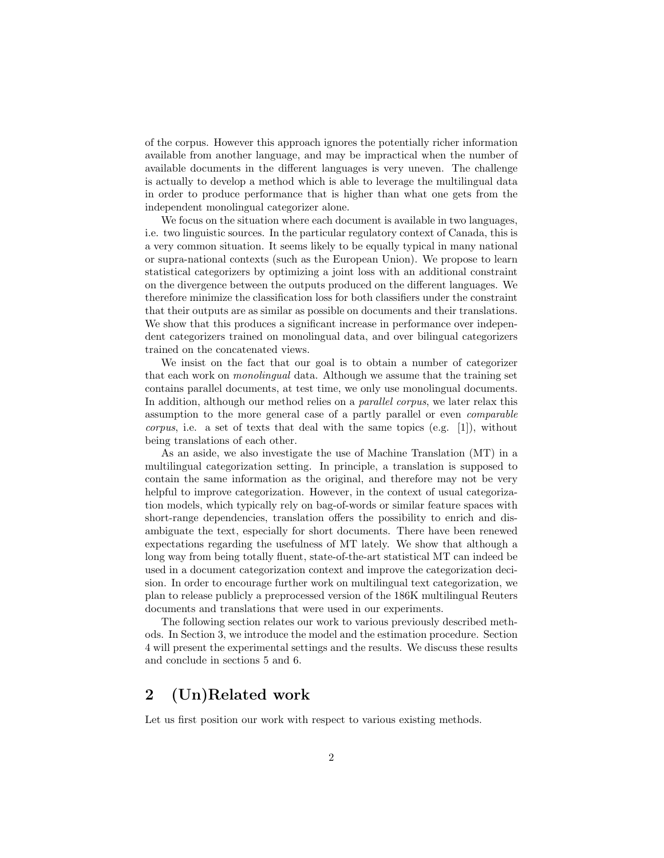of the corpus. However this approach ignores the potentially richer information available from another language, and may be impractical when the number of available documents in the different languages is very uneven. The challenge is actually to develop a method which is able to leverage the multilingual data in order to produce performance that is higher than what one gets from the independent monolingual categorizer alone.

We focus on the situation where each document is available in two languages, i.e. two linguistic sources. In the particular regulatory context of Canada, this is a very common situation. It seems likely to be equally typical in many national or supra-national contexts (such as the European Union). We propose to learn statistical categorizers by optimizing a joint loss with an additional constraint on the divergence between the outputs produced on the different languages. We therefore minimize the classification loss for both classifiers under the constraint that their outputs are as similar as possible on documents and their translations. We show that this produces a significant increase in performance over independent categorizers trained on monolingual data, and over bilingual categorizers trained on the concatenated views.

We insist on the fact that our goal is to obtain a number of categorizer that each work on monolingual data. Although we assume that the training set contains parallel documents, at test time, we only use monolingual documents. In addition, although our method relies on a *parallel corpus*, we later relax this assumption to the more general case of a partly parallel or even comparable corpus, i.e. a set of texts that deal with the same topics (e.g. [1]), without being translations of each other.

As an aside, we also investigate the use of Machine Translation (MT) in a multilingual categorization setting. In principle, a translation is supposed to contain the same information as the original, and therefore may not be very helpful to improve categorization. However, in the context of usual categorization models, which typically rely on bag-of-words or similar feature spaces with short-range dependencies, translation offers the possibility to enrich and disambiguate the text, especially for short documents. There have been renewed expectations regarding the usefulness of MT lately. We show that although a long way from being totally fluent, state-of-the-art statistical MT can indeed be used in a document categorization context and improve the categorization decision. In order to encourage further work on multilingual text categorization, we plan to release publicly a preprocessed version of the 186K multilingual Reuters documents and translations that were used in our experiments.

The following section relates our work to various previously described methods. In Section 3, we introduce the model and the estimation procedure. Section 4 will present the experimental settings and the results. We discuss these results and conclude in sections 5 and 6.

# 2 (Un)Related work

Let us first position our work with respect to various existing methods.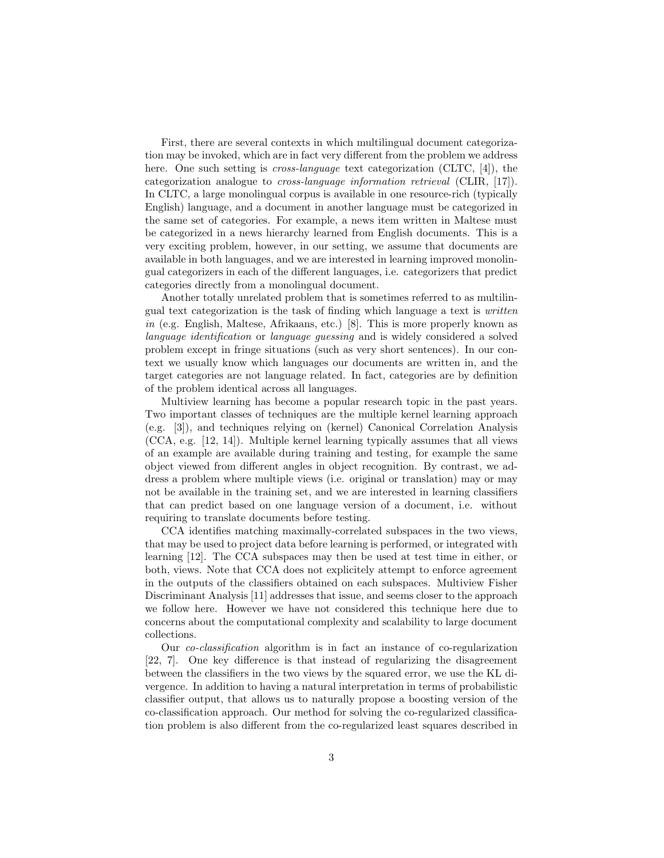First, there are several contexts in which multilingual document categorization may be invoked, which are in fact very different from the problem we address here. One such setting is *cross-language* text categorization (CLTC, [4]), the categorization analogue to cross-language information retrieval (CLIR, [17]). In CLTC, a large monolingual corpus is available in one resource-rich (typically English) language, and a document in another language must be categorized in the same set of categories. For example, a news item written in Maltese must be categorized in a news hierarchy learned from English documents. This is a very exciting problem, however, in our setting, we assume that documents are available in both languages, and we are interested in learning improved monolingual categorizers in each of the different languages, i.e. categorizers that predict categories directly from a monolingual document.

Another totally unrelated problem that is sometimes referred to as multilingual text categorization is the task of finding which language a text is written in (e.g. English, Maltese, Afrikaans, etc.) [8]. This is more properly known as language identification or language guessing and is widely considered a solved problem except in fringe situations (such as very short sentences). In our context we usually know which languages our documents are written in, and the target categories are not language related. In fact, categories are by definition of the problem identical across all languages.

Multiview learning has become a popular research topic in the past years. Two important classes of techniques are the multiple kernel learning approach (e.g. [3]), and techniques relying on (kernel) Canonical Correlation Analysis (CCA, e.g. [12, 14]). Multiple kernel learning typically assumes that all views of an example are available during training and testing, for example the same object viewed from different angles in object recognition. By contrast, we address a problem where multiple views (i.e. original or translation) may or may not be available in the training set, and we are interested in learning classifiers that can predict based on one language version of a document, i.e. without requiring to translate documents before testing.

CCA identifies matching maximally-correlated subspaces in the two views, that may be used to project data before learning is performed, or integrated with learning [12]. The CCA subspaces may then be used at test time in either, or both, views. Note that CCA does not explicitely attempt to enforce agreement in the outputs of the classifiers obtained on each subspaces. Multiview Fisher Discriminant Analysis [11] addresses that issue, and seems closer to the approach we follow here. However we have not considered this technique here due to concerns about the computational complexity and scalability to large document collections.

Our co-classification algorithm is in fact an instance of co-regularization [22, 7]. One key difference is that instead of regularizing the disagreement between the classifiers in the two views by the squared error, we use the KL divergence. In addition to having a natural interpretation in terms of probabilistic classifier output, that allows us to naturally propose a boosting version of the co-classification approach. Our method for solving the co-regularized classification problem is also different from the co-regularized least squares described in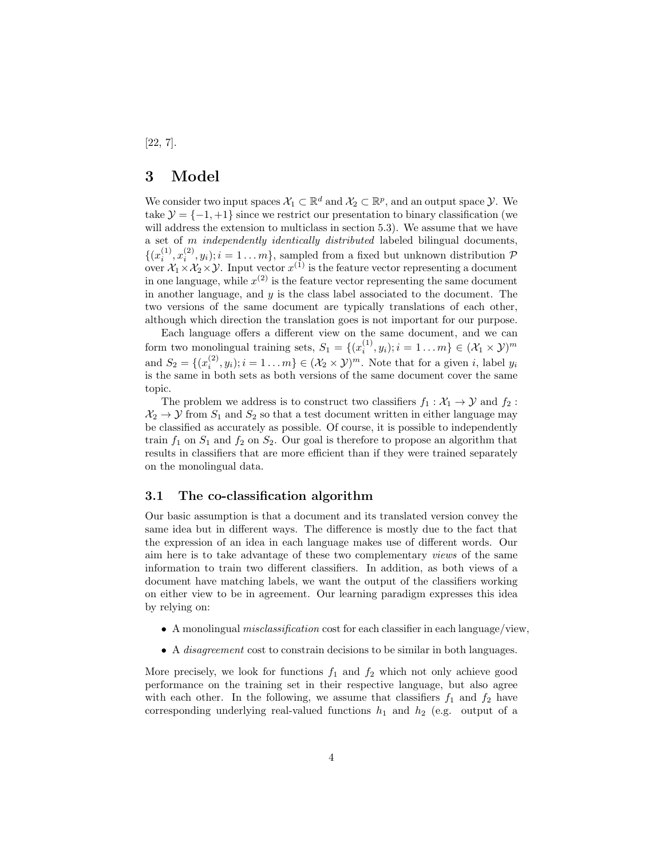[22, 7].

### 3 Model

We consider two input spaces  $\mathcal{X}_1 \subset \mathbb{R}^d$  and  $\mathcal{X}_2 \subset \mathbb{R}^p$ , and an output space  $\mathcal{Y}$ . We take  $\mathcal{Y} = \{-1, +1\}$  since we restrict our presentation to binary classification (we will address the extension to multiclass in section 5.3). We assume that we have a set of m independently identically distributed labeled bilingual documents,  $\{(x_i^{(1)}, x_i^{(2)}, y_i); i = 1...m\}$ , sampled from a fixed but unknown distribution  $\mathcal{P}$ over  $X_1 \times X_2 \times Y$ . Input vector  $x^{(1)}$  is the feature vector representing a document in one language, while  $x^{(2)}$  is the feature vector representing the same document in another language, and  $y$  is the class label associated to the document. The two versions of the same document are typically translations of each other, although which direction the translation goes is not important for our purpose.

Each language offers a different view on the same document, and we can form two monolingual training sets,  $S_1 = \{(x_i^{(1)}, y_i); i = 1...m\} \in (\mathcal{X}_1 \times \mathcal{Y})^m$ and  $S_2 = \{(x_i^{(2)}, y_i); i = 1 \dots m\} \in (\mathcal{X}_2 \times \mathcal{Y})^m$ . Note that for a given i, label  $y_i$ is the same in both sets as both versions of the same document cover the same topic.

The problem we address is to construct two classifiers  $f_1 : \mathcal{X}_1 \to \mathcal{Y}$  and  $f_2$ :  $\mathcal{X}_2 \rightarrow \mathcal{Y}$  from  $S_1$  and  $S_2$  so that a test document written in either language may be classified as accurately as possible. Of course, it is possible to independently train  $f_1$  on  $S_1$  and  $f_2$  on  $S_2$ . Our goal is therefore to propose an algorithm that results in classifiers that are more efficient than if they were trained separately on the monolingual data.

#### 3.1 The co-classification algorithm

Our basic assumption is that a document and its translated version convey the same idea but in different ways. The difference is mostly due to the fact that the expression of an idea in each language makes use of different words. Our aim here is to take advantage of these two complementary views of the same information to train two different classifiers. In addition, as both views of a document have matching labels, we want the output of the classifiers working on either view to be in agreement. Our learning paradigm expresses this idea by relying on:

- A monolingual *misclassification* cost for each classifier in each language/view,
- A disagreement cost to constrain decisions to be similar in both languages.

More precisely, we look for functions  $f_1$  and  $f_2$  which not only achieve good performance on the training set in their respective language, but also agree with each other. In the following, we assume that classifiers  $f_1$  and  $f_2$  have corresponding underlying real-valued functions  $h_1$  and  $h_2$  (e.g. output of a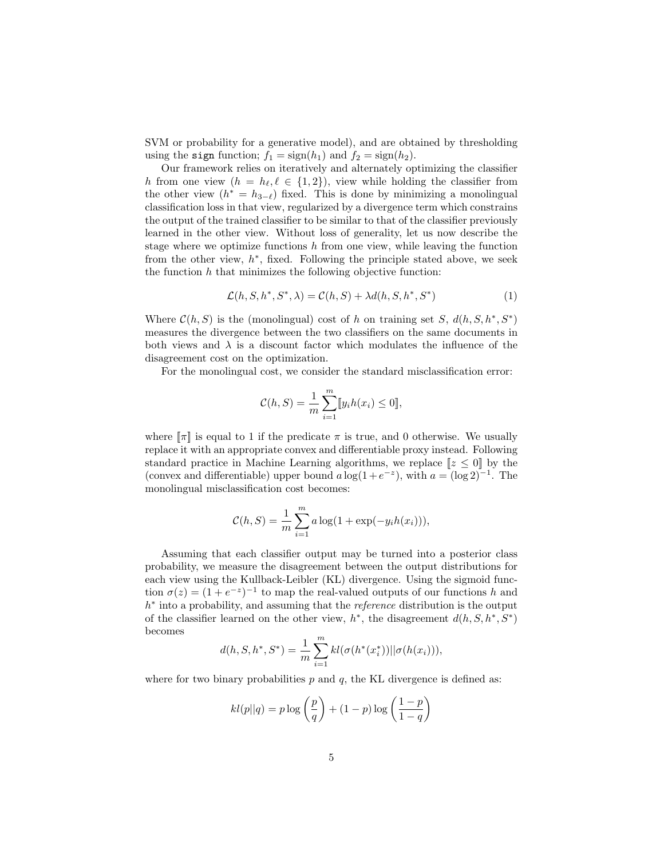SVM or probability for a generative model), and are obtained by thresholding using the sign function;  $f_1 = sign(h_1)$  and  $f_2 = sign(h_2)$ .

Our framework relies on iteratively and alternately optimizing the classifier h from one view  $(h = h_{\ell}, \ell \in \{1, 2\})$ , view while holding the classifier from the other view  $(h^* = h_{3-\ell})$  fixed. This is done by minimizing a monolingual classification loss in that view, regularized by a divergence term which constrains the output of the trained classifier to be similar to that of the classifier previously learned in the other view. Without loss of generality, let us now describe the stage where we optimize functions  $h$  from one view, while leaving the function from the other view,  $h^*$ , fixed. Following the principle stated above, we seek the function  $h$  that minimizes the following objective function:

$$
\mathcal{L}(h, S, h^*, S^*, \lambda) = \mathcal{C}(h, S) + \lambda d(h, S, h^*, S^*)
$$
\n(1)

Where  $\mathcal{C}(h, S)$  is the (monolingual) cost of h on training set S,  $d(h, S, h^*, S^*)$ measures the divergence between the two classifiers on the same documents in both views and  $\lambda$  is a discount factor which modulates the influence of the disagreement cost on the optimization.

For the monolingual cost, we consider the standard misclassification error:

$$
C(h, S) = \frac{1}{m} \sum_{i=1}^{m} [y_i h(x_i) \le 0],
$$

where  $\llbracket \pi \rrbracket$  is equal to 1 if the predicate  $\pi$  is true, and 0 otherwise. We usually replace it with an appropriate convex and differentiable proxy instead. Following standard practice in Machine Learning algorithms, we replace  $[z \leq 0]$  by the (convex and differentiable) upper bound  $a \log(1 + e^{-z})$ , with  $a = (\log 2)^{-1}$ . The monolingual misclassification cost becomes:

$$
C(h, S) = \frac{1}{m} \sum_{i=1}^{m} a \log(1 + \exp(-y_i h(x_i))),
$$

Assuming that each classifier output may be turned into a posterior class probability, we measure the disagreement between the output distributions for each view using the Kullback-Leibler (KL) divergence. Using the sigmoid function  $\sigma(z) = (1 + e^{-z})^{-1}$  to map the real-valued outputs of our functions h and  $h^*$  into a probability, and assuming that the *reference* distribution is the output of the classifier learned on the other view,  $h^*$ , the disagreement  $d(h, S, h^*, S^*)$ becomes

$$
d(h, S, h^*, S^*) = \frac{1}{m} \sum_{i=1}^m kl(\sigma(h^*(x_i^*)) || \sigma(h(x_i))),
$$

where for two binary probabilities  $p$  and  $q$ , the KL divergence is defined as:

$$
kl(p||q) = p \log \left(\frac{p}{q}\right) + (1-p) \log \left(\frac{1-p}{1-q}\right)
$$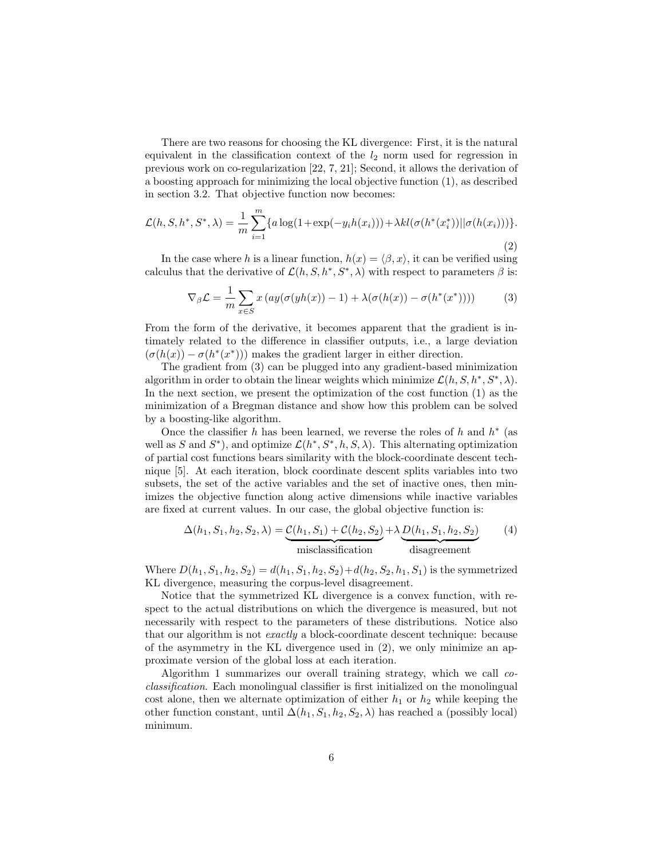There are two reasons for choosing the KL divergence: First, it is the natural equivalent in the classification context of the  $l_2$  norm used for regression in previous work on co-regularization [22, 7, 21]; Second, it allows the derivation of a boosting approach for minimizing the local objective function (1), as described in section 3.2. That objective function now becomes:

$$
\mathcal{L}(h, S, h^*, S^*, \lambda) = \frac{1}{m} \sum_{i=1}^m \{ a \log(1 + \exp(-y_i h(x_i))) + \lambda k l(\sigma(h^*(x_i^*)) || \sigma(h(x_i))) \}.
$$
\n(2)

In the case where h is a linear function,  $h(x) = \langle \beta, x \rangle$ , it can be verified using calculus that the derivative of  $\mathcal{L}(h, S, h^*, S^*, \lambda)$  with respect to parameters  $\beta$  is:

$$
\nabla_{\beta} \mathcal{L} = \frac{1}{m} \sum_{x \in S} x \left( a y (\sigma(yh(x)) - 1) + \lambda (\sigma(h(x)) - \sigma(h^*(x^*))) \right) \tag{3}
$$

From the form of the derivative, it becomes apparent that the gradient is intimately related to the difference in classifier outputs, i.e., a large deviation  $(\sigma(h(x)) - \sigma(h^*(x^*)))$  makes the gradient larger in either direction.

The gradient from (3) can be plugged into any gradient-based minimization algorithm in order to obtain the linear weights which minimize  $\mathcal{L}(h, S, h^*, S^*, \lambda)$ . In the next section, we present the optimization of the cost function (1) as the minimization of a Bregman distance and show how this problem can be solved by a boosting-like algorithm.

Once the classifier h has been learned, we reverse the roles of h and  $h^*$  (as well as S and  $S^*$ ), and optimize  $\mathcal{L}(h^*, S^*, h, S, \lambda)$ . This alternating optimization of partial cost functions bears similarity with the block-coordinate descent technique [5]. At each iteration, block coordinate descent splits variables into two subsets, the set of the active variables and the set of inactive ones, then minimizes the objective function along active dimensions while inactive variables are fixed at current values. In our case, the global objective function is:

$$
\Delta(h_1, S_1, h_2, S_2, \lambda) = \underbrace{\mathcal{C}(h_1, S_1) + \mathcal{C}(h_2, S_2)}_{\text{misclassification}} + \lambda \underbrace{D(h_1, S_1, h_2, S_2)}_{\text{disagreement}} \tag{4}
$$

Where  $D(h_1, S_1, h_2, S_2) = d(h_1, S_1, h_2, S_2) + d(h_2, S_2, h_1, S_1)$  is the symmetrized KL divergence, measuring the corpus-level disagreement.

Notice that the symmetrized KL divergence is a convex function, with respect to the actual distributions on which the divergence is measured, but not necessarily with respect to the parameters of these distributions. Notice also that our algorithm is not exactly a block-coordinate descent technique: because of the asymmetry in the KL divergence used in (2), we only minimize an approximate version of the global loss at each iteration.

Algorithm 1 summarizes our overall training strategy, which we call coclassification. Each monolingual classifier is first initialized on the monolingual cost alone, then we alternate optimization of either  $h_1$  or  $h_2$  while keeping the other function constant, until  $\Delta(h_1, S_1, h_2, S_2, \lambda)$  has reached a (possibly local) minimum.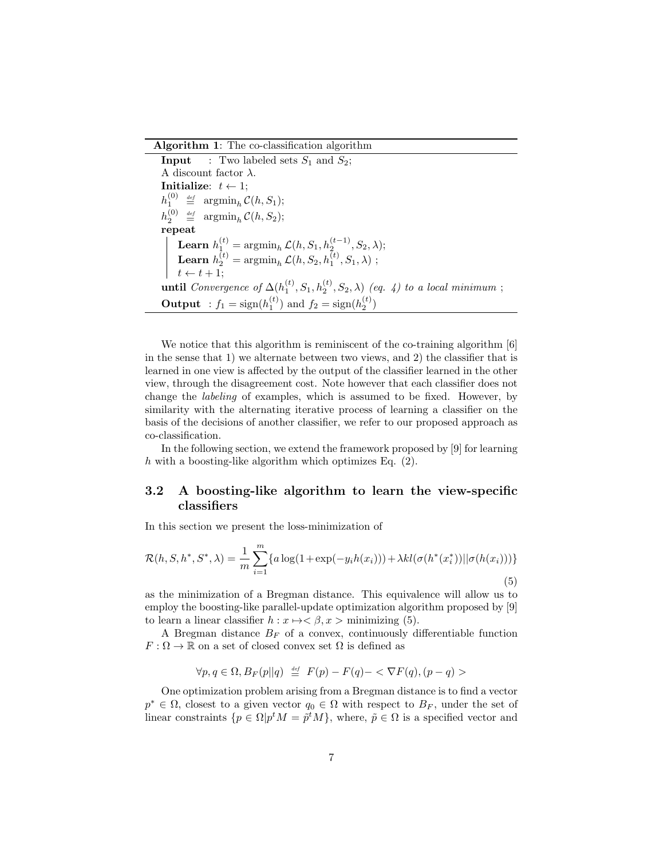Algorithm 1: The co-classification algorithm

**Input** : Two labeled sets  $S_1$  and  $S_2$ ; A discount factor  $\lambda$ . Initialize:  $t \leftarrow 1$ ;  $h_1^{(0)} \;\; \stackrel{\text{\tiny def}}{=} \;\; \mathop{\mathrm{argmin}}_h \mathcal{C}(h,S_1);$ 1  $h_2^{(0)} \;\; \stackrel{\text{\tiny def}}{=} \;\; \mathop{\mathrm{argmin}}_h \mathcal{C}(h,S_2);$ repeat  $\textbf{Learn}\,\,h^{(t)}_1 = \mathop{\rm argmin}_{h} \mathcal{L}(h, S_1, h^{(t-1)}_2, S_2, \lambda);$ Learn  $h_2^{(t)} = \operatorname{argmin}_h \mathcal{L}(h, S_2, h_1^{(t)}, S_1, \lambda)$  ;  $t \leftarrow t + 1$ ; until Convergence of  $\Delta(h_1^{(t)}, S_1, h_2^{(t)}, S_2, \lambda)$  (eq. 4) to a local minimum; **Output** :  $f_1 = sign(h_1^{(t)})$  and  $f_2 = sign(h_2^{(t)})$ 

We notice that this algorithm is reminiscent of the co-training algorithm  $[6]$ in the sense that 1) we alternate between two views, and 2) the classifier that is learned in one view is affected by the output of the classifier learned in the other view, through the disagreement cost. Note however that each classifier does not change the labeling of examples, which is assumed to be fixed. However, by similarity with the alternating iterative process of learning a classifier on the basis of the decisions of another classifier, we refer to our proposed approach as co-classification.

In the following section, we extend the framework proposed by [9] for learning h with a boosting-like algorithm which optimizes Eq.  $(2)$ .

### 3.2 A boosting-like algorithm to learn the view-specific classifiers

In this section we present the loss-minimization of

$$
\mathcal{R}(h, S, h^*, S^*, \lambda) = \frac{1}{m} \sum_{i=1}^{m} \{ a \log(1 + \exp(-y_i h(x_i))) + \lambda k l (\sigma(h^*(x_i^*)) || \sigma(h(x_i))) \}
$$
\n(5)

as the minimization of a Bregman distance. This equivalence will allow us to employ the boosting-like parallel-update optimization algorithm proposed by [9] to learn a linear classifier  $h : x \mapsto \beta, x >$  minimizing (5).

A Bregman distance  $B_F$  of a convex, continuously differentiable function  $F:\Omega\to\mathbb{R}$  on a set of closed convex set  $\Omega$  is defined as

$$
\forall p, q \in \Omega, B_F(p||q) \stackrel{\text{def}}{=} F(p) - F(q) - \nabla F(q), (p - q) >
$$

One optimization problem arising from a Bregman distance is to find a vector  $p^* \in \Omega$ , closest to a given vector  $q_0 \in \Omega$  with respect to  $B_F$ , under the set of linear constraints  $\{p \in \Omega | p^t M = \tilde{p}^t M\}$ , where,  $\tilde{p} \in \Omega$  is a specified vector and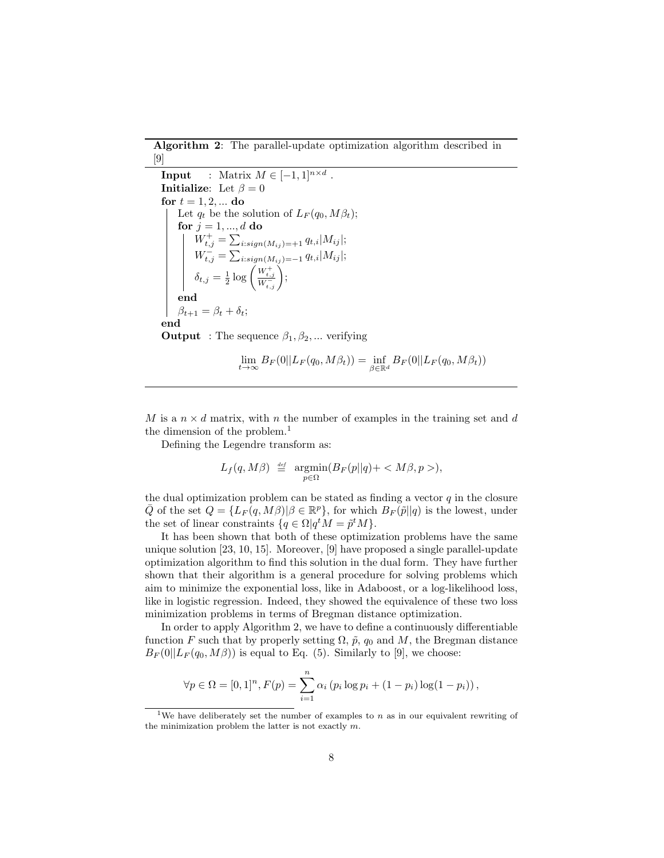Algorithm 2: The parallel-update optimization algorithm described in [9]

**Input** : Matrix  $M \in [-1, 1]^{n \times d}$ . **Initialize:** Let  $\beta = 0$ for  $t = 1, 2, ...$  do Let  $q_t$  be the solution of  $L_F(q_0, M\beta_t);$ for  $j = 1, ..., d$  do  $W_{t,j}^{+} = \sum_{i:sign(M_{ij})=+1} q_{t,i} |M_{ij}|;$  $W_{t,j}^{-} = \sum_{i:sign(M_{ij})=-1} q_{t,i} |M_{ij}|;$  $\delta_{t,j} = \frac{1}{2} \log \bigg( \frac{W_{t,j}^{+}}{W_{t,j}^{-}} \bigg);$ end  $\beta_{t+1} = \beta_t + \delta_t;$ end **Output** : The sequence  $\beta_1, \beta_2, ...$  verifying  $\lim_{t\to\infty}B_F(0||L_F(q_0,M\beta_t))=\inf_{\beta\in\mathbb{R}^d}B_F(0||L_F(q_0,M\beta_t))$ 

M is a  $n \times d$  matrix, with n the number of examples in the training set and d the dimension of the problem.<sup>1</sup>

Defining the Legendre transform as:

$$
L_f(q, M\beta) \stackrel{\text{def}}{=} \underset{p \in \Omega}{\text{argmin}} (B_F(p||q) + \langle M\beta, p \rangle),
$$

the dual optimization problem can be stated as finding a vector  $q$  in the closure  $\overline{Q}$  of the set  $Q = \{L_F(q, M\beta) | \beta \in \mathbb{R}^p\}$ , for which  $B_F(\tilde{p}||q)$  is the lowest, under the set of linear constraints  $\{q \in \Omega | q^t M = \tilde{p}^t M \}.$ 

It has been shown that both of these optimization problems have the same unique solution [23, 10, 15]. Moreover, [9] have proposed a single parallel-update optimization algorithm to find this solution in the dual form. They have further shown that their algorithm is a general procedure for solving problems which aim to minimize the exponential loss, like in Adaboost, or a log-likelihood loss, like in logistic regression. Indeed, they showed the equivalence of these two loss minimization problems in terms of Bregman distance optimization.

In order to apply Algorithm 2, we have to define a continuously differentiable function F such that by properly setting  $\Omega$ ,  $\tilde{p}$ ,  $q_0$  and M, the Bregman distance  $B_F(0||L_F(q_0, M\beta))$  is equal to Eq. (5). Similarly to [9], we choose:

$$
\forall p \in \Omega = [0,1]^n, F(p) = \sum_{i=1}^n \alpha_i (p_i \log p_i + (1 - p_i) \log(1 - p_i)),
$$

<sup>&</sup>lt;sup>1</sup>We have deliberately set the number of examples to n as in our equivalent rewriting of the minimization problem the latter is not exactly  $m$ .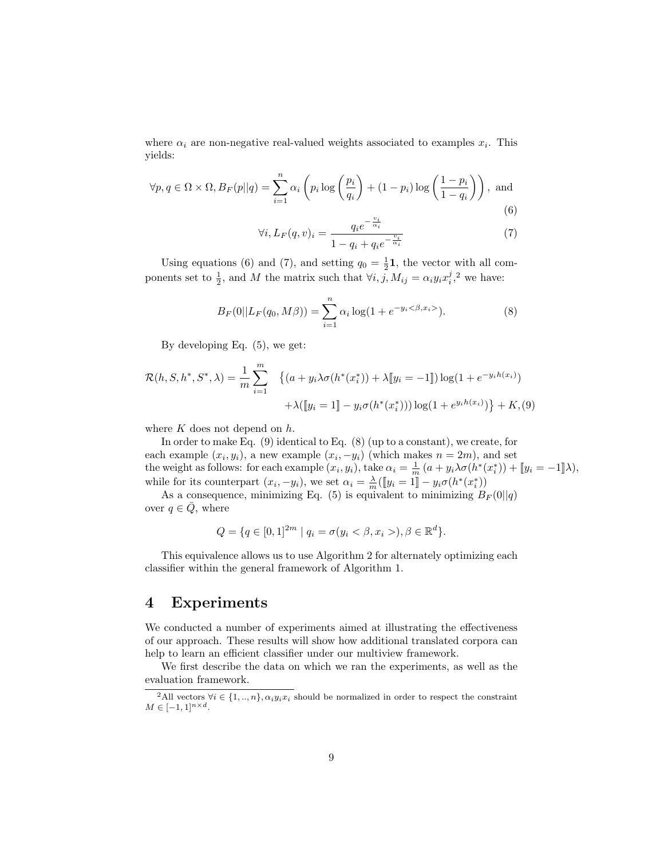where  $\alpha_i$  are non-negative real-valued weights associated to examples  $x_i$ . This yields:

$$
\forall p, q \in \Omega \times \Omega, B_F(p||q) = \sum_{i=1}^n \alpha_i \left( p_i \log \left( \frac{p_i}{q_i} \right) + (1 - p_i) \log \left( \frac{1 - p_i}{1 - q_i} \right) \right), \text{ and}
$$
\n(6)

$$
\forall i, L_F(q, v)_i = \frac{q_i e^{-\frac{v_i}{\alpha_i}}}{1 - q_i + q_i e^{-\frac{v_i}{\alpha_i}}} \tag{7}
$$

Using equations (6) and (7), and setting  $q_0 = \frac{1}{2}\mathbf{1}$ , the vector with all components set to  $\frac{1}{2}$ , and M the matrix such that  $\forall i, j, M_{ij} = \alpha_i y_i x_i^j$ , we have:

$$
B_F(0||L_F(q_0, M\beta)) = \sum_{i=1}^n \alpha_i \log(1 + e^{-y_i \langle \beta, x_i \rangle}). \tag{8}
$$

By developing Eq. (5), we get:

$$
\mathcal{R}(h, S, h^*, S^*, \lambda) = \frac{1}{m} \sum_{i=1}^m \left\{ (a + y_i \lambda \sigma(h^*(x_i^*)) + \lambda [y_i = -1]) \log(1 + e^{-y_i h(x_i)}) + \lambda ([y_i = 1] - y_i \sigma(h^*(x_i^*))) \log(1 + e^{y_i h(x_i)}) \right\} + K, (9)
$$

where  $K$  does not depend on  $h$ .

In order to make Eq. (9) identical to Eq. (8) (up to a constant), we create, for each example  $(x_i, y_i)$ , a new example  $(x_i, -y_i)$  (which makes  $n = 2m$ ), and set the weight as follows: for each example  $(x_i, y_i)$ , take  $\alpha_i = \frac{1}{m} (a + y_i \lambda \sigma(h^*(x_i^*)) + [y_i = -1] \lambda)$ , while for its counterpart  $(x_i, -y_i)$ , we set  $\alpha_i = \frac{\lambda}{m} (\llbracket y_i = 1 \rrbracket - y_i \sigma(h^*(x_i^*))$ 

As a consequence, minimizing Eq. (5) is equivalent to minimizing  $B_F(0||q)$ over  $q \in \overline{Q}$ , where

$$
Q = \{q \in [0,1]^{2m} \mid q_i = \sigma(y_i < \beta, x_i >), \beta \in \mathbb{R}^d\}.
$$

This equivalence allows us to use Algorithm 2 for alternately optimizing each classifier within the general framework of Algorithm 1.

### 4 Experiments

We conducted a number of experiments aimed at illustrating the effectiveness of our approach. These results will show how additional translated corpora can help to learn an efficient classifier under our multiview framework.

We first describe the data on which we ran the experiments, as well as the evaluation framework.

<sup>&</sup>lt;sup>2</sup>All vectors  $\forall i \in \{1, ..., n\}$ ,  $\alpha_i y_i x_i$  should be normalized in order to respect the constraint  $M \in [-1, 1]^{n \times d}$ .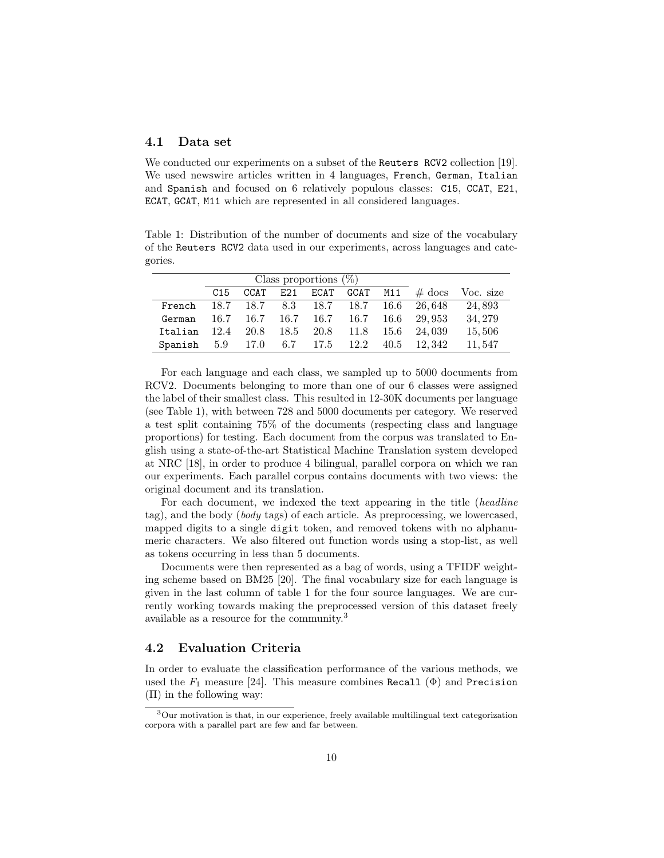#### 4.1 Data set

We conducted our experiments on a subset of the Reuters RCV2 collection [19]. We used newswire articles written in 4 languages, French, German, Italian and Spanish and focused on 6 relatively populous classes: C15, CCAT, E21, ECAT, GCAT, M11 which are represented in all considered languages.

Table 1: Distribution of the number of documents and size of the vocabulary of the Reuters RCV2 data used in our experiments, across languages and categories.

|         | Class proportions $(\%)$ |      |      |                        |      |      |           |           |
|---------|--------------------------|------|------|------------------------|------|------|-----------|-----------|
|         | C <sub>15</sub>          |      |      | CCAT E21 ECAT GCAT M11 |      |      | $\#$ docs | Voc. size |
| French  | 18.7                     | 18.7 |      | 8.3 18.7 18.7          |      | 16.6 | 26.648    | 24,893    |
| German  | 16.7                     | 16.7 |      | 16.7 16.7 16.7         |      | 16.6 | 29.953    | 34, 279   |
| Italian | 12.4                     | 20.8 | 18.5 | 20.8                   | 11.8 | 15.6 | 24.039    | 15,506    |
| Spanish | 5.9                      | 17.0 |      | $6.7$ $17.5$ $12.2$    |      | 40.5 | 12.342    | 11,547    |

For each language and each class, we sampled up to 5000 documents from RCV2. Documents belonging to more than one of our 6 classes were assigned the label of their smallest class. This resulted in 12-30K documents per language (see Table 1), with between 728 and 5000 documents per category. We reserved a test split containing 75% of the documents (respecting class and language proportions) for testing. Each document from the corpus was translated to English using a state-of-the-art Statistical Machine Translation system developed at NRC [18], in order to produce 4 bilingual, parallel corpora on which we ran our experiments. Each parallel corpus contains documents with two views: the original document and its translation.

For each document, we indexed the text appearing in the title *(headline*) tag), and the body (body tags) of each article. As preprocessing, we lowercased, mapped digits to a single digit token, and removed tokens with no alphanumeric characters. We also filtered out function words using a stop-list, as well as tokens occurring in less than 5 documents.

Documents were then represented as a bag of words, using a TFIDF weighting scheme based on BM25 [20]. The final vocabulary size for each language is given in the last column of table 1 for the four source languages. We are currently working towards making the preprocessed version of this dataset freely available as a resource for the community.<sup>3</sup>

#### 4.2 Evaluation Criteria

In order to evaluate the classification performance of the various methods, we used the  $F_1$  measure [24]. This measure combines Recall  $(\Phi)$  and Precision  $(\Pi)$  in the following way:

<sup>3</sup>Our motivation is that, in our experience, freely available multilingual text categorization corpora with a parallel part are few and far between.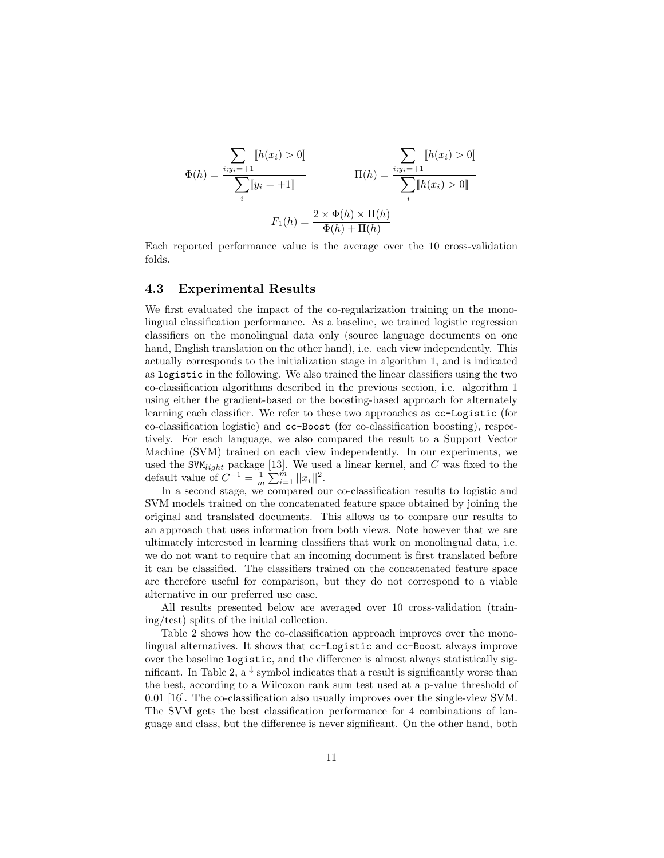$$
\Phi(h) = \frac{\sum_{i:y_i=+1} [h(x_i) > 0]}{\sum_{i} [y_i = +1]} \qquad \qquad \Pi(h) = \frac{\sum_{i:y_i=+1} [h(x_i) > 0]}{\sum_{i} [h(x_i) > 0]}
$$
\n
$$
F_1(h) = \frac{2 \times \Phi(h) \times \Pi(h)}{\Phi(h) + \Pi(h)}
$$

Each reported performance value is the average over the 10 cross-validation folds.

#### 4.3 Experimental Results

We first evaluated the impact of the co-regularization training on the monolingual classification performance. As a baseline, we trained logistic regression classifiers on the monolingual data only (source language documents on one hand, English translation on the other hand), i.e. each view independently. This actually corresponds to the initialization stage in algorithm 1, and is indicated as logistic in the following. We also trained the linear classifiers using the two co-classification algorithms described in the previous section, i.e. algorithm 1 using either the gradient-based or the boosting-based approach for alternately learning each classifier. We refer to these two approaches as cc-Logistic (for co-classification logistic) and cc-Boost (for co-classification boosting), respectively. For each language, we also compared the result to a Support Vector Machine (SVM) trained on each view independently. In our experiments, we used the SVM $_{light}$  package [13]. We used a linear kernel, and  $C$  was fixed to the default value of  $C^{-1} = \frac{1}{m} \sum_{i=1}^{m} ||x_i||^2$ .

In a second stage, we compared our co-classification results to logistic and SVM models trained on the concatenated feature space obtained by joining the original and translated documents. This allows us to compare our results to an approach that uses information from both views. Note however that we are ultimately interested in learning classifiers that work on monolingual data, i.e. we do not want to require that an incoming document is first translated before it can be classified. The classifiers trained on the concatenated feature space are therefore useful for comparison, but they do not correspond to a viable alternative in our preferred use case.

All results presented below are averaged over 10 cross-validation (training/test) splits of the initial collection.

Table 2 shows how the co-classification approach improves over the monolingual alternatives. It shows that cc-Logistic and cc-Boost always improve over the baseline logistic, and the difference is almost always statistically significant. In Table 2, a  $\overline{\ }$  symbol indicates that a result is significantly worse than the best, according to a Wilcoxon rank sum test used at a p-value threshold of 0.01 [16]. The co-classification also usually improves over the single-view SVM. The SVM gets the best classification performance for 4 combinations of language and class, but the difference is never significant. On the other hand, both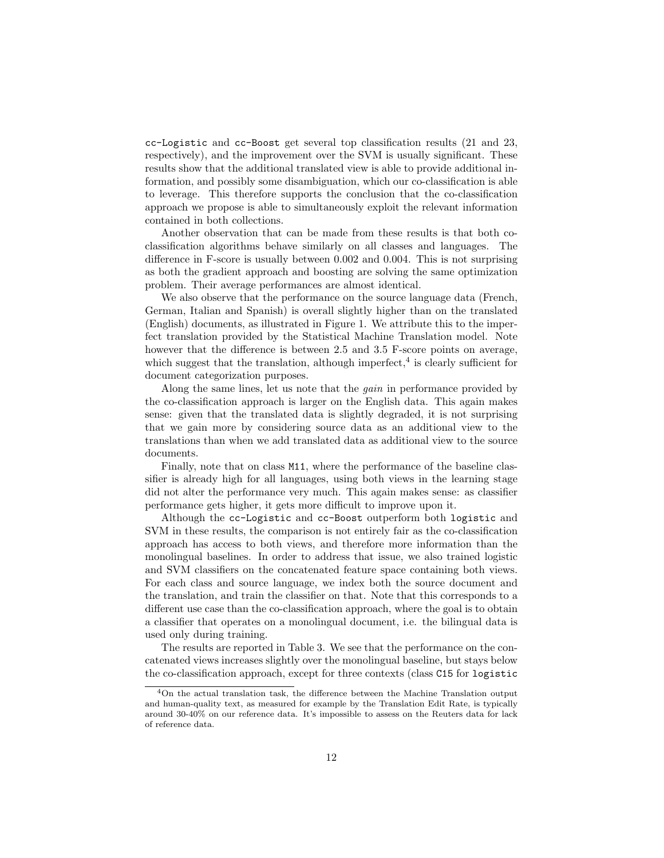cc-Logistic and cc-Boost get several top classification results (21 and 23, respectively), and the improvement over the SVM is usually significant. These results show that the additional translated view is able to provide additional information, and possibly some disambiguation, which our co-classification is able to leverage. This therefore supports the conclusion that the co-classification approach we propose is able to simultaneously exploit the relevant information contained in both collections.

Another observation that can be made from these results is that both coclassification algorithms behave similarly on all classes and languages. The difference in F-score is usually between 0.002 and 0.004. This is not surprising as both the gradient approach and boosting are solving the same optimization problem. Their average performances are almost identical.

We also observe that the performance on the source language data (French, German, Italian and Spanish) is overall slightly higher than on the translated (English) documents, as illustrated in Figure 1. We attribute this to the imperfect translation provided by the Statistical Machine Translation model. Note however that the difference is between 2.5 and 3.5 F-score points on average, which suggest that the translation, although imperfect,<sup>4</sup> is clearly sufficient for document categorization purposes.

Along the same lines, let us note that the gain in performance provided by the co-classification approach is larger on the English data. This again makes sense: given that the translated data is slightly degraded, it is not surprising that we gain more by considering source data as an additional view to the translations than when we add translated data as additional view to the source documents.

Finally, note that on class M11, where the performance of the baseline classifier is already high for all languages, using both views in the learning stage did not alter the performance very much. This again makes sense: as classifier performance gets higher, it gets more difficult to improve upon it.

Although the cc-Logistic and cc-Boost outperform both logistic and SVM in these results, the comparison is not entirely fair as the co-classification approach has access to both views, and therefore more information than the monolingual baselines. In order to address that issue, we also trained logistic and SVM classifiers on the concatenated feature space containing both views. For each class and source language, we index both the source document and the translation, and train the classifier on that. Note that this corresponds to a different use case than the co-classification approach, where the goal is to obtain a classifier that operates on a monolingual document, i.e. the bilingual data is used only during training.

The results are reported in Table 3. We see that the performance on the concatenated views increases slightly over the monolingual baseline, but stays below the co-classification approach, except for three contexts (class C15 for logistic

 $4$ On the actual translation task, the difference between the Machine Translation output and human-quality text, as measured for example by the Translation Edit Rate, is typically around 30-40% on our reference data. It's impossible to assess on the Reuters data for lack of reference data.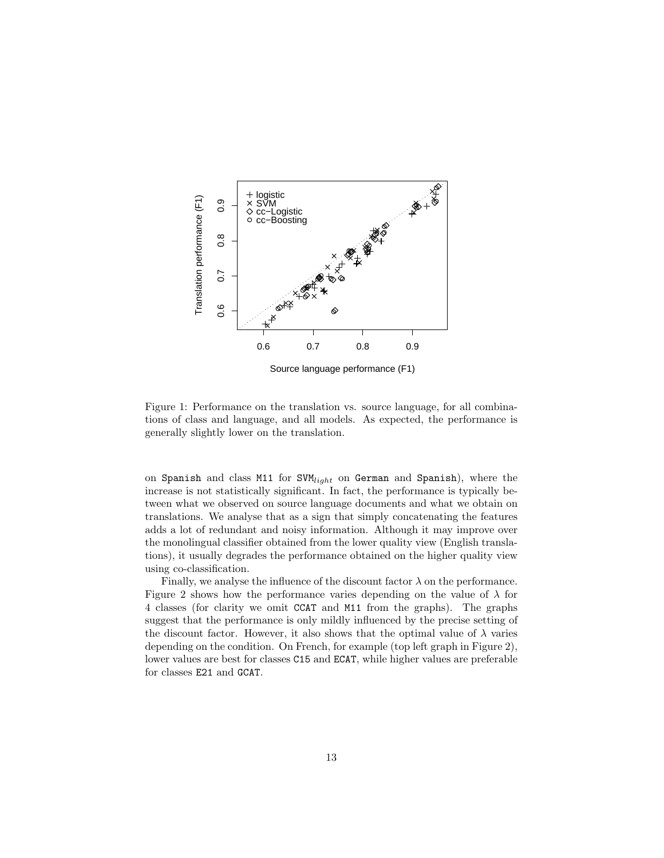

Figure 1: Performance on the translation vs. source language, for all combinations of class and language, and all models. As expected, the performance is generally slightly lower on the translation.

on Spanish and class M11 for SVM $_{light}$  on German and Spanish), where the increase is not statistically significant. In fact, the performance is typically between what we observed on source language documents and what we obtain on translations. We analyse that as a sign that simply concatenating the features adds a lot of redundant and noisy information. Although it may improve over the monolingual classifier obtained from the lower quality view (English translations), it usually degrades the performance obtained on the higher quality view using co-classification.

Finally, we analyse the influence of the discount factor  $\lambda$  on the performance. Figure 2 shows how the performance varies depending on the value of  $\lambda$  for 4 classes (for clarity we omit CCAT and M11 from the graphs). The graphs suggest that the performance is only mildly influenced by the precise setting of the discount factor. However, it also shows that the optimal value of  $\lambda$  varies depending on the condition. On French, for example (top left graph in Figure 2), lower values are best for classes C15 and ECAT, while higher values are preferable for classes E21 and GCAT.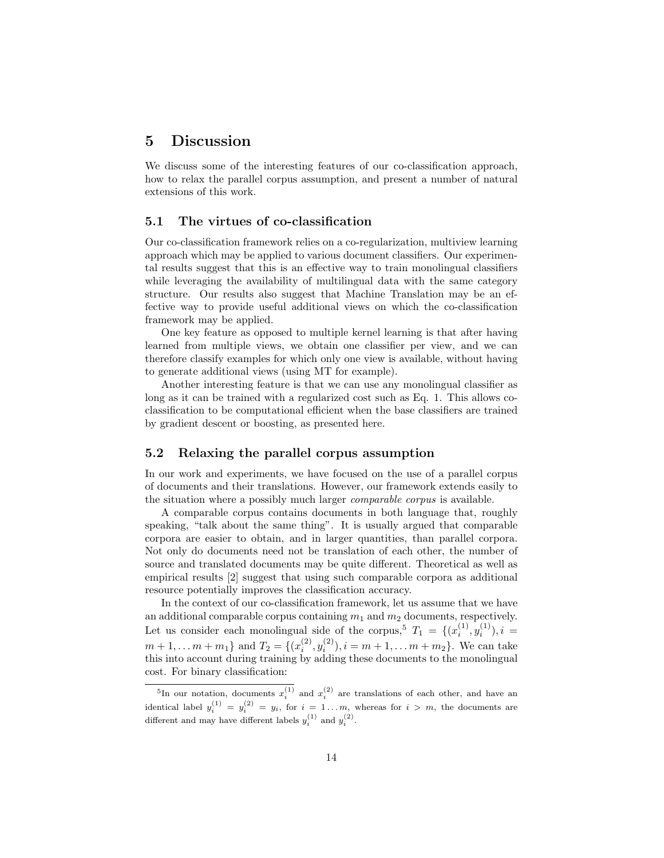### 5 Discussion

We discuss some of the interesting features of our co-classification approach, how to relax the parallel corpus assumption, and present a number of natural extensions of this work.

### 5.1 The virtues of co-classification

Our co-classification framework relies on a co-regularization, multiview learning approach which may be applied to various document classifiers. Our experimental results suggest that this is an effective way to train monolingual classifiers while leveraging the availability of multilingual data with the same category structure. Our results also suggest that Machine Translation may be an effective way to provide useful additional views on which the co-classification framework may be applied.

One key feature as opposed to multiple kernel learning is that after having learned from multiple views, we obtain one classifier per view, and we can therefore classify examples for which only one view is available, without having to generate additional views (using MT for example).

Another interesting feature is that we can use any monolingual classifier as long as it can be trained with a regularized cost such as Eq. 1. This allows coclassification to be computational efficient when the base classifiers are trained by gradient descent or boosting, as presented here.

#### 5.2 Relaxing the parallel corpus assumption

In our work and experiments, we have focused on the use of a parallel corpus of documents and their translations. However, our framework extends easily to the situation where a possibly much larger comparable corpus is available.

A comparable corpus contains documents in both language that, roughly speaking, "talk about the same thing". It is usually argued that comparable corpora are easier to obtain, and in larger quantities, than parallel corpora. Not only do documents need not be translation of each other, the number of source and translated documents may be quite different. Theoretical as well as empirical results [2] suggest that using such comparable corpora as additional resource potentially improves the classification accuracy.

In the context of our co-classification framework, let us assume that we have an additional comparable corpus containing  $m_1$  and  $m_2$  documents, respectively. Let us consider each monolingual side of the corpus,<sup>5</sup>  $T_1 = \{(x_i^{(1)}, y_i^{(1)}), i =$  $m+1, \ldots m+m_1$ } and  $T_2 = \{(x_i^{(2)}, y_i^{(2)}), i = m+1, \ldots m+m_2\}$ . We can take this into account during training by adding these documents to the monolingual cost. For binary classification:

<sup>&</sup>lt;sup>5</sup>In our notation, documents  $x_i^{(1)}$  and  $x_i^{(2)}$  are translations of each other, and have an identical label  $y_i^{(1)} = y_i^{(2)} = y_i$ , for  $i = 1...m$ , whereas for  $i > m$ , the documents are different and may have different labels  $y_i^{(1)}$  and  $y_i^{(2)}$ .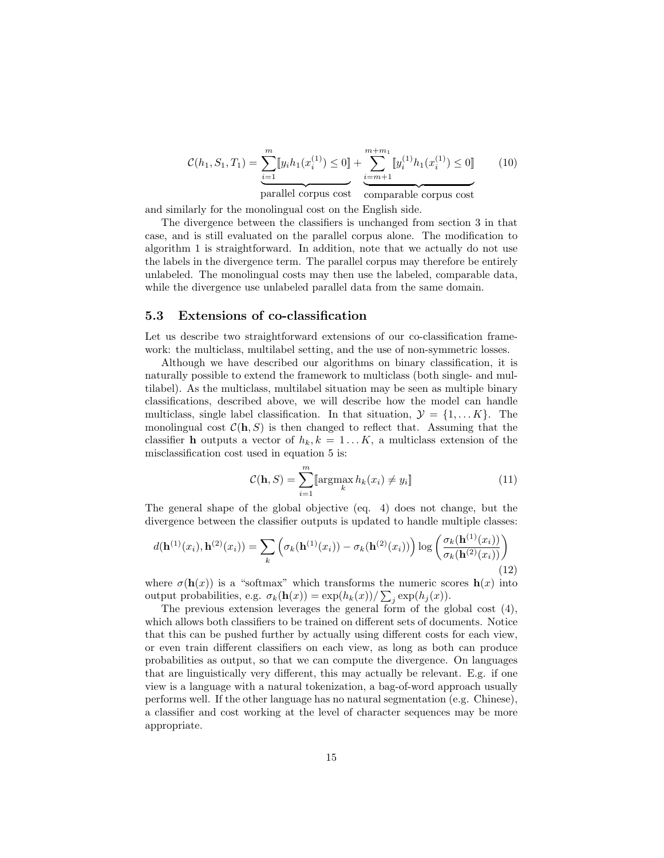$$
\mathcal{C}(h_1, S_1, T_1) = \underbrace{\sum_{i=1}^{m} [y_i h_1(x_i^{(1)}) \le 0]}_{\text{parallel corpus cost}} + \underbrace{\sum_{i=m+1}^{m+m_1} [y_i^{(1)} h_1(x_i^{(1)}) \le 0]}_{\text{comparable corpus cost}} \tag{10}
$$

and similarly for the monolingual cost on the English side.

The divergence between the classifiers is unchanged from section 3 in that case, and is still evaluated on the parallel corpus alone. The modification to algorithm 1 is straightforward. In addition, note that we actually do not use the labels in the divergence term. The parallel corpus may therefore be entirely unlabeled. The monolingual costs may then use the labeled, comparable data, while the divergence use unlabeled parallel data from the same domain.

#### 5.3 Extensions of co-classification

Let us describe two straightforward extensions of our co-classification framework: the multiclass, multilabel setting, and the use of non-symmetric losses.

Although we have described our algorithms on binary classification, it is naturally possible to extend the framework to multiclass (both single- and multilabel). As the multiclass, multilabel situation may be seen as multiple binary classifications, described above, we will describe how the model can handle multiclass, single label classification. In that situation,  $\mathcal{Y} = \{1, \ldots K\}$ . The monolingual cost  $\mathcal{C}(\mathbf{h}, S)$  is then changed to reflect that. Assuming that the classifier h outputs a vector of  $h_k, k = 1...K$ , a multiclass extension of the misclassification cost used in equation 5 is:

$$
\mathcal{C}(\mathbf{h}, S) = \sum_{i=1}^{m} [\arg\max_{k} h_k(x_i) \neq y_i]
$$
 (11)

The general shape of the global objective (eq. 4) does not change, but the divergence between the classifier outputs is updated to handle multiple classes:

$$
d(\mathbf{h}^{(1)}(x_i), \mathbf{h}^{(2)}(x_i)) = \sum_{k} \left( \sigma_k(\mathbf{h}^{(1)}(x_i)) - \sigma_k(\mathbf{h}^{(2)}(x_i)) \right) \log \left( \frac{\sigma_k(\mathbf{h}^{(1)}(x_i))}{\sigma_k(\mathbf{h}^{(2)}(x_i))} \right)
$$
(12)

where  $\sigma(\mathbf{h}(x))$  is a "softmax" which transforms the numeric scores  $\mathbf{h}(x)$  into output probabilities, e.g.  $\sigma_k(\mathbf{h}(x)) = \exp(h_k(x)) / \sum_j \exp(h_j(x))$ .

The previous extension leverages the general form of the global cost (4), which allows both classifiers to be trained on different sets of documents. Notice that this can be pushed further by actually using different costs for each view, or even train different classifiers on each view, as long as both can produce probabilities as output, so that we can compute the divergence. On languages that are linguistically very different, this may actually be relevant. E.g. if one view is a language with a natural tokenization, a bag-of-word approach usually performs well. If the other language has no natural segmentation (e.g. Chinese), a classifier and cost working at the level of character sequences may be more appropriate.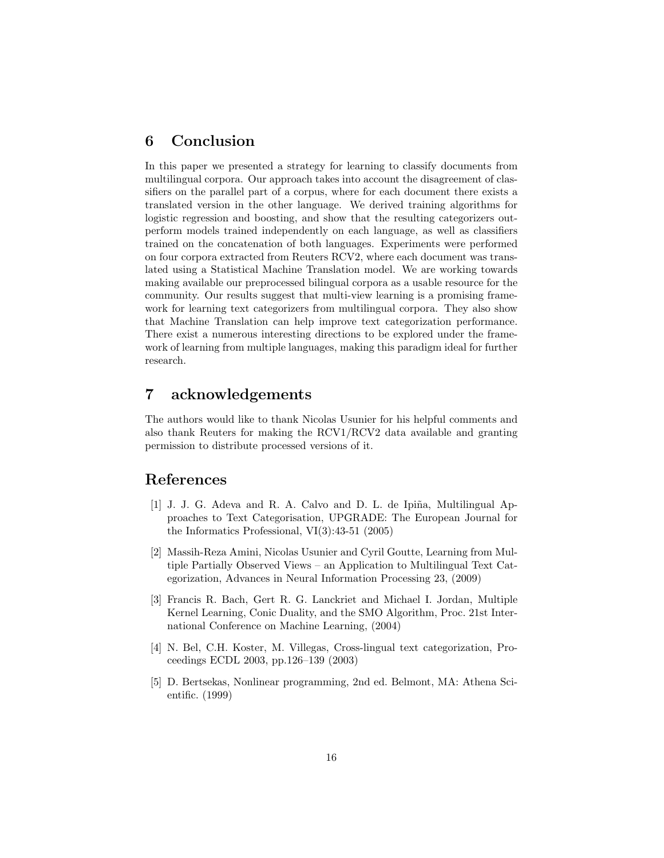## 6 Conclusion

In this paper we presented a strategy for learning to classify documents from multilingual corpora. Our approach takes into account the disagreement of classifiers on the parallel part of a corpus, where for each document there exists a translated version in the other language. We derived training algorithms for logistic regression and boosting, and show that the resulting categorizers outperform models trained independently on each language, as well as classifiers trained on the concatenation of both languages. Experiments were performed on four corpora extracted from Reuters RCV2, where each document was translated using a Statistical Machine Translation model. We are working towards making available our preprocessed bilingual corpora as a usable resource for the community. Our results suggest that multi-view learning is a promising framework for learning text categorizers from multilingual corpora. They also show that Machine Translation can help improve text categorization performance. There exist a numerous interesting directions to be explored under the framework of learning from multiple languages, making this paradigm ideal for further research.

### 7 acknowledgements

The authors would like to thank Nicolas Usunier for his helpful comments and also thank Reuters for making the RCV1/RCV2 data available and granting permission to distribute processed versions of it.

### References

- [1] J. J. G. Adeva and R. A. Calvo and D. L. de Ipiña, Multilingual Approaches to Text Categorisation, UPGRADE: The European Journal for the Informatics Professional, VI(3):43-51 (2005)
- [2] Massih-Reza Amini, Nicolas Usunier and Cyril Goutte, Learning from Multiple Partially Observed Views – an Application to Multilingual Text Categorization, Advances in Neural Information Processing 23, (2009)
- [3] Francis R. Bach, Gert R. G. Lanckriet and Michael I. Jordan, Multiple Kernel Learning, Conic Duality, and the SMO Algorithm, Proc. 21st International Conference on Machine Learning, (2004)
- [4] N. Bel, C.H. Koster, M. Villegas, Cross-lingual text categorization, Proceedings ECDL 2003, pp.126–139 (2003)
- [5] D. Bertsekas, Nonlinear programming, 2nd ed. Belmont, MA: Athena Scientific. (1999)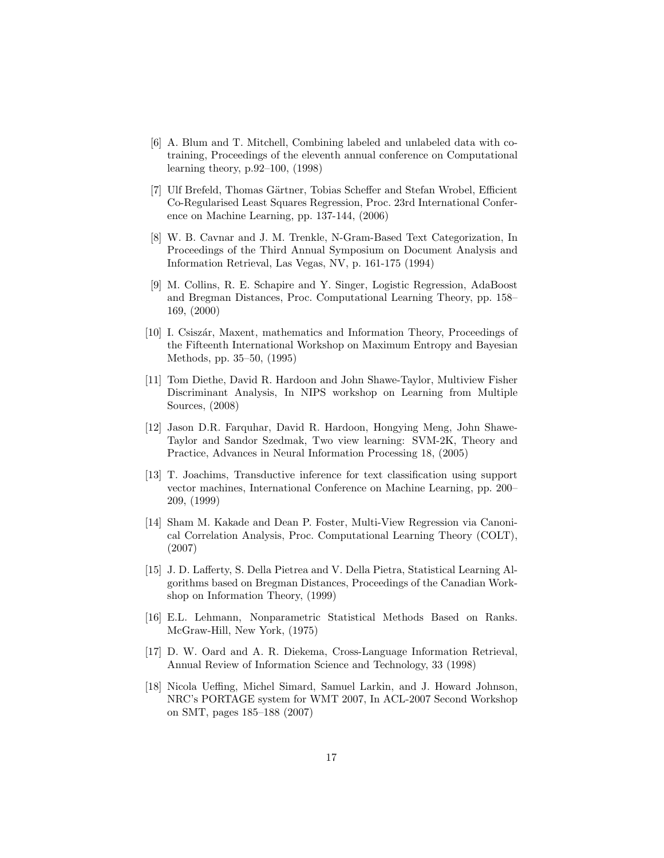- [6] A. Blum and T. Mitchell, Combining labeled and unlabeled data with cotraining, Proceedings of the eleventh annual conference on Computational learning theory, p.92–100, (1998)
- [7] Ulf Brefeld, Thomas Gärtner, Tobias Scheffer and Stefan Wrobel, Efficient Co-Regularised Least Squares Regression, Proc. 23rd International Conference on Machine Learning, pp. 137-144, (2006)
- [8] W. B. Cavnar and J. M. Trenkle, N-Gram-Based Text Categorization, In Proceedings of the Third Annual Symposium on Document Analysis and Information Retrieval, Las Vegas, NV, p. 161-175 (1994)
- [9] M. Collins, R. E. Schapire and Y. Singer, Logistic Regression, AdaBoost and Bregman Distances, Proc. Computational Learning Theory, pp. 158– 169, (2000)
- [10] I. Csiszár, Maxent, mathematics and Information Theory, Proceedings of the Fifteenth International Workshop on Maximum Entropy and Bayesian Methods, pp. 35–50, (1995)
- [11] Tom Diethe, David R. Hardoon and John Shawe-Taylor, Multiview Fisher Discriminant Analysis, In NIPS workshop on Learning from Multiple Sources, (2008)
- [12] Jason D.R. Farquhar, David R. Hardoon, Hongying Meng, John Shawe-Taylor and Sandor Szedmak, Two view learning: SVM-2K, Theory and Practice, Advances in Neural Information Processing 18, (2005)
- [13] T. Joachims, Transductive inference for text classification using support vector machines, International Conference on Machine Learning, pp. 200– 209, (1999)
- [14] Sham M. Kakade and Dean P. Foster, Multi-View Regression via Canonical Correlation Analysis, Proc. Computational Learning Theory (COLT), (2007)
- [15] J. D. Lafferty, S. Della Pietrea and V. Della Pietra, Statistical Learning Algorithms based on Bregman Distances, Proceedings of the Canadian Workshop on Information Theory, (1999)
- [16] E.L. Lehmann, Nonparametric Statistical Methods Based on Ranks. McGraw-Hill, New York, (1975)
- [17] D. W. Oard and A. R. Diekema, Cross-Language Information Retrieval, Annual Review of Information Science and Technology, 33 (1998)
- [18] Nicola Ueffing, Michel Simard, Samuel Larkin, and J. Howard Johnson, NRC's PORTAGE system for WMT 2007, In ACL-2007 Second Workshop on SMT, pages 185–188 (2007)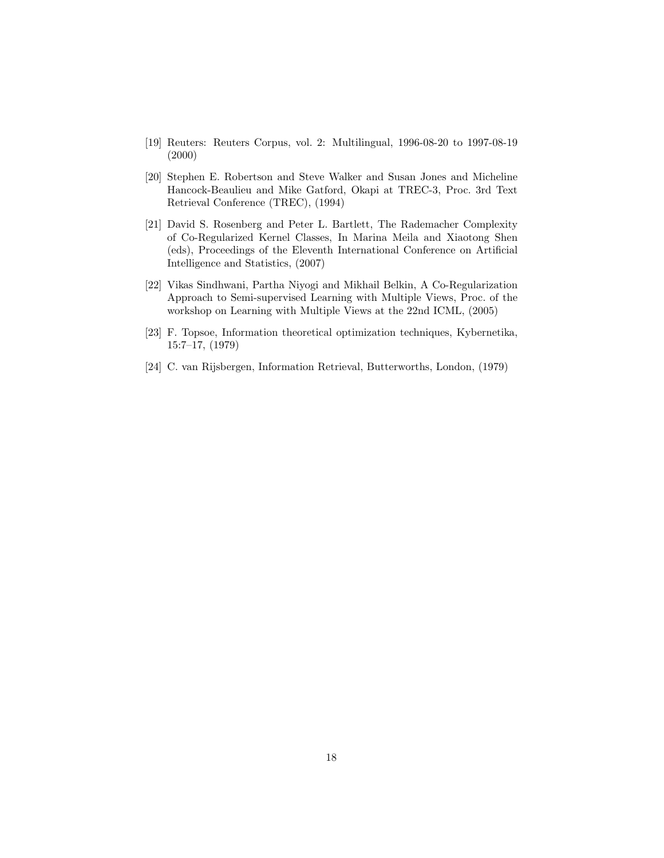- [19] Reuters: Reuters Corpus, vol. 2: Multilingual, 1996-08-20 to 1997-08-19 (2000)
- [20] Stephen E. Robertson and Steve Walker and Susan Jones and Micheline Hancock-Beaulieu and Mike Gatford, Okapi at TREC-3, Proc. 3rd Text Retrieval Conference (TREC), (1994)
- [21] David S. Rosenberg and Peter L. Bartlett, The Rademacher Complexity of Co-Regularized Kernel Classes, In Marina Meila and Xiaotong Shen (eds), Proceedings of the Eleventh International Conference on Artificial Intelligence and Statistics, (2007)
- [22] Vikas Sindhwani, Partha Niyogi and Mikhail Belkin, A Co-Regularization Approach to Semi-supervised Learning with Multiple Views, Proc. of the workshop on Learning with Multiple Views at the 22nd ICML, (2005)
- [23] F. Topsoe, Information theoretical optimization techniques, Kybernetika, 15:7–17, (1979)
- [24] C. van Rijsbergen, Information Retrieval, Butterworths, London, (1979)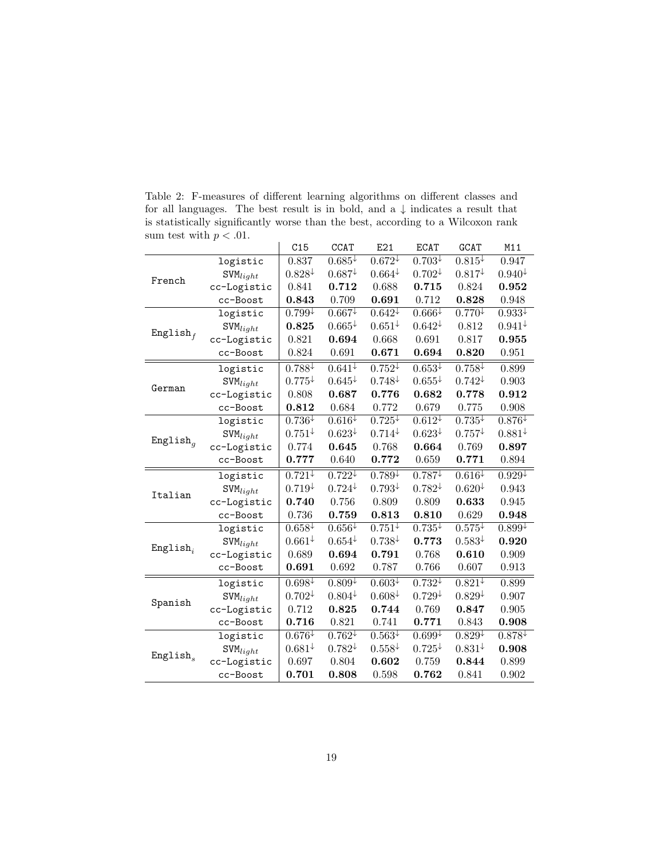|                      |               | C15                  | <b>CCAT</b>          | E21                             | <b>ECAT</b>          | GCAT                            | M11                |
|----------------------|---------------|----------------------|----------------------|---------------------------------|----------------------|---------------------------------|--------------------|
|                      | logistic      | 0.837                | $0.685+$             | $0.672+$                        | $0.703+$             | $0.815+$                        | 0.947              |
| French               | $SWM_{light}$ | $0.828^{\downarrow}$ | $0.687\downarrow$    | $0.664\downarrow$               | $0.702^{\downarrow}$ | $0.817^{\downarrow}$            | $0.940+$           |
|                      | cc-Logistic   | 0.841                | 0.712                | 0.688                           | 0.715                | 0.824                           | 0.952              |
|                      | cc-Boost      | 0.843                | 0.709                | 0.691                           | 0.712                | 0.828                           | 0.948              |
| English $_f$         | logistic      | $0.799\downarrow$    | $0.667+$             | $0.642+$                        | $0.666\sqrt{ }$      | 0.770 <sup>1</sup>              | $0.933+$           |
|                      | $SWM_{light}$ | 0.825                | $0.665\downarrow$    | $0.651+$                        | $0.642\downarrow$    | 0.812                           | $0.941+$           |
|                      | cc-Logistic   | 0.821                | 0.694                | 0.668                           | 0.691                | 0.817                           | 0.955              |
|                      | cc-Boost      | 0.824                | 0.691                | 0.671                           | 0.694                | 0.820                           | 0.951              |
|                      | logistic      | $0.788+$             | $0.641+$             | $0.\overline{752^{\downarrow}}$ | $0.653+$             | $0.758+$                        | 0.899              |
| German               | $SWM_{light}$ | $0.775^{\downarrow}$ | $0.645\downarrow$    | $0.748\downarrow$               | $0.655^{\downarrow}$ | $0.742\downarrow$               | 0.903              |
|                      | cc-Logistic   | 0.808                | 0.687                | 0.776                           | 0.682                | 0.778                           | 0.912              |
|                      | cc-Boost      | 0.812                | 0.684                | 0.772                           | 0.679                | 0.775                           | 0.908              |
|                      | logistic      | $0.736\sqrt{ }$      | $0.616+$             | $0.725^{\downarrow}$            | $0.612\downarrow$    | $0.735^{\downarrow}$            | $0.876\sqrt{ }$    |
|                      | $SWM_{light}$ | $0.751^+$            | $0.623\downarrow$    | $0.714^{\downarrow}$            | $0.623\downarrow$    | $0.757^{\downarrow}$            | 0.881 <sup>↓</sup> |
| English <sub>a</sub> | cc-Logistic   | 0.774                | 0.645                | 0.768                           | 0.664                | 0.769                           | 0.897              |
|                      | cc-Boost      | 0.777                | 0.640                | 0.772                           | 0.659                | 0.771                           | 0.894              |
|                      | logistic      | $0.721^{\downarrow}$ | $0.722^{\downarrow}$ | $0.789\downarrow$               | $0.787^{+}$          | $0.616+$                        | $0.929\downarrow$  |
|                      | $SWM_{light}$ | $0.719\downarrow$    | $0.724^{\downarrow}$ | $0.793\downarrow$               | $0.782^{\downarrow}$ | $0.620\downarrow$               | 0.943              |
| Italian              | cc-Logistic   | 0.740                | 0.756                | 0.809                           | 0.809                | 0.633                           | 0.945              |
|                      | cc-Boost      | 0.736                | 0.759                | 0.813                           | 0.810                | 0.629                           | 0.948              |
| English <sub>i</sub> | logistic      | $0.658\downarrow$    | $0.656\star$         | $0.751+$                        | $0.735+$             | $0.575\sqrt{ }$                 | $0.899\downarrow$  |
|                      | $SWM_{light}$ | $0.661+$             | $0.654\downarrow$    | $0.738\downarrow$               | 0.773                | $0.583\downarrow$               | 0.920              |
|                      | cc-Logistic   | 0.689                | 0.694                | 0.791                           | 0.768                | 0.610                           | 0.909              |
|                      | cc-Boost      | 0.691                | 0.692                | 0.787                           | 0.766                | 0.607                           | 0.913              |
| Spanish              | logistic      | $0.698\downarrow$    | $0.809+$             | $0.603+$                        | $0.732\overline{1}$  | $\overline{0.821^{\downarrow}}$ | 0.899              |
|                      | $SWM_{light}$ | $0.702\downarrow$    | $0.804^{\downarrow}$ | $0.608\downarrow$               | $0.729\downarrow$    | $0.829\downarrow$               | 0.907              |
|                      | cc-Logistic   | 0.712                | 0.825                | 0.744                           | 0.769                | 0.847                           | 0.905              |
|                      | cc-Boost      | 0.716                | 0.821                | 0.741                           | 0.771                | 0.843                           | 0.908              |
| English $_s$         | logistic      | $0.676\downarrow$    | $0.762\downarrow$    | $0.563+$                        | $0.699\downarrow$    | 0.829 <sup>†</sup>              | $0.878\downarrow$  |
|                      | $SWM_{light}$ | $0.681+$             | $0.782\downarrow$    | $0.558+$                        | $0.725^{\downarrow}$ | $0.831+$                        | 0.908              |
|                      | cc-Logistic   | 0.697                | 0.804                | 0.602                           | 0.759                | 0.844                           | 0.899              |
|                      | cc-Boost      | 0.701                | 0.808                | 0.598                           | 0.762                | 0.841                           | 0.902              |

Table 2: F-measures of different learning algorithms on different classes and for all languages. The best result is in bold, and a  $\downarrow$  indicates a result that is statistically significantly worse than the best, according to a Wilcoxon rank sum test with  $p<.01.$  $\overline{1}$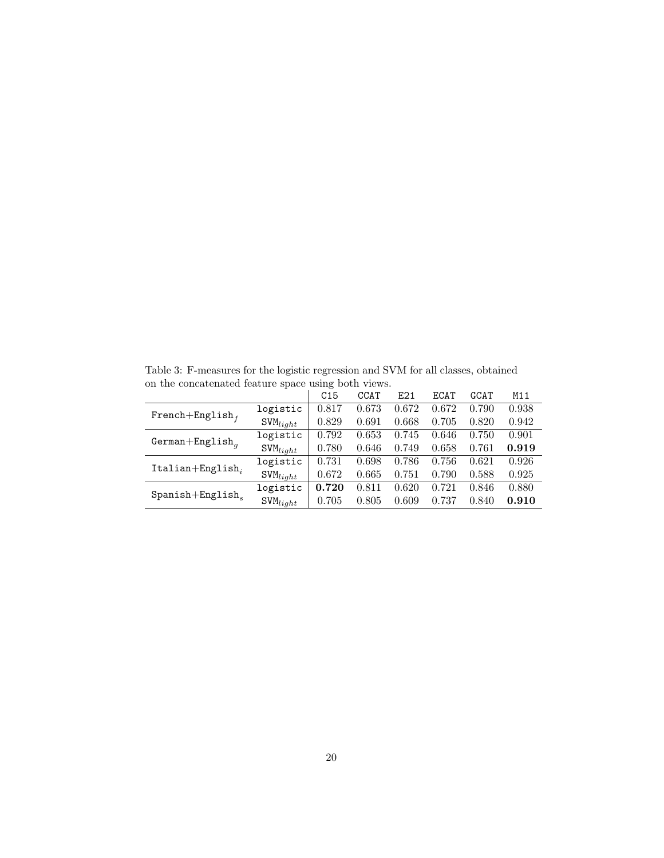| on the concettation reatance space. |               | $\sim$<br>C15 | CCAT  | E21   | ECAT  | GCAT  | M11   |
|-------------------------------------|---------------|---------------|-------|-------|-------|-------|-------|
| $French+Englishf$                   | logistic      | 0.817         | 0.673 | 0.672 | 0.672 | 0.790 | 0.938 |
|                                     | $SWM_{light}$ | 0.829         | 0.691 | 0.668 | 0.705 | 0.820 | 0.942 |
|                                     | logistic      | 0.792         | 0.653 | 0.745 | 0.646 | 0.750 | 0.901 |
| German+English $_a$                 | $SWM_{light}$ | 0.780         | 0.646 | 0.749 | 0.658 | 0.761 | 0.919 |
| $Italian+English,$                  | logistic      | 0.731         | 0.698 | 0.786 | 0.756 | 0.621 | 0.926 |
|                                     | $SWM_{light}$ | 0.672         | 0.665 | 0.751 | 0.790 | 0.588 | 0.925 |
| $S$ panish $+$ English $_{s}$       | logistic      | 0.720         | 0.811 | 0.620 | 0.721 | 0.846 | 0.880 |
|                                     | $SWM_{light}$ | 0.705         | 0.805 | 0.609 | 0.737 | 0.840 | 0.910 |

Table 3: F-measures for the logistic regression and SVM for all classes, obtained on the concatenated feature space using both views.